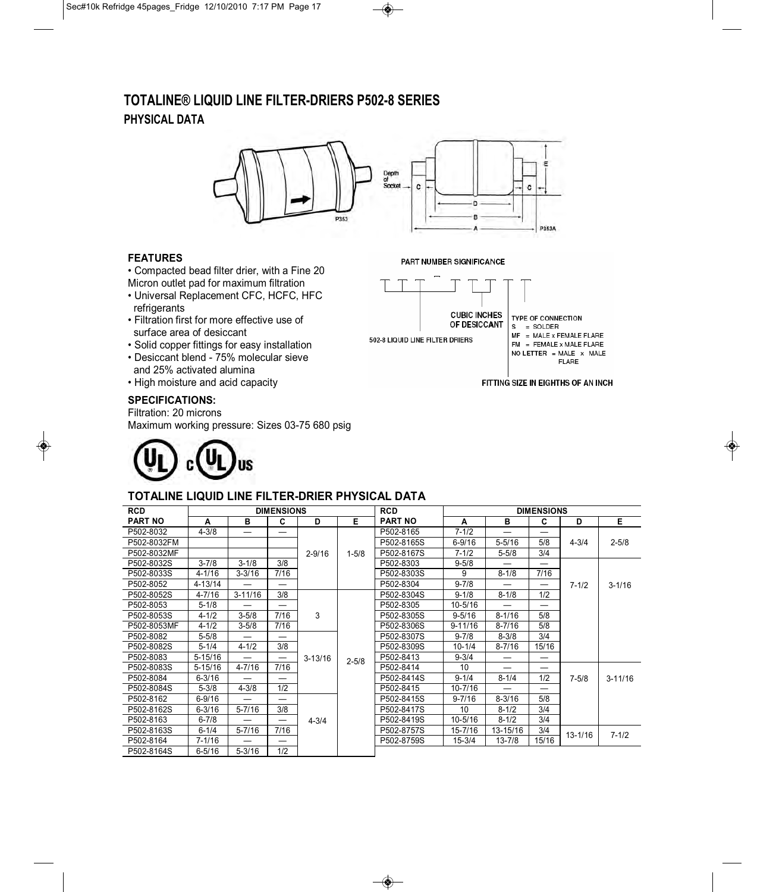# **TOTALINE® LIQUID LINE FILTER-DRIERS P502-8 SERIES PHYSICAL DATA**



## **FEATURES**

• Compacted bead filter drier, with a Fine 20 Micron outlet pad for maximum filtration

- Universal Replacement CFC, HCFC, HFC refrigerants
- Filtration first for more effective use of surface area of desiccant
- Solid copper fittings for easy installation
- Desiccant blend 75% molecular sieve and 25% activated alumina
- High moisture and acid capacity

## **SPECIFICATIONS:**

Filtration: 20 microns

Maximum working pressure: Sizes 03-75 680 psig



## **CUBIC INCHES** TYPE OF CONNECTION OF DESICCANT 502-8 LIQUID LINE FILTER DRIERS

PART NUMBER SIGNIFICANCE

S = SOLDER<br>MF = MALE x FEMALE FLARE  $FM = FEMALE \times MALE FLARE$ NO LETTER = MALE  $x$  MALE FLARE

FITTING SIZE IN EIGHTHS OF AN INCH

| $(\mathbf{U}_L)$ c $(\mathbf{U}_L)$ us |  |  |
|----------------------------------------|--|--|
|                                        |  |  |

## **TOTALINE LIQUID LINE FILTER-DRIER PHYSICAL DATA**

| <b>RCD</b>     | <b>DIMENSIONS</b> |             |      | <b>RCD</b>  | <b>DIMENSIONS</b> |                |             |                          |       |             |             |
|----------------|-------------------|-------------|------|-------------|-------------------|----------------|-------------|--------------------------|-------|-------------|-------------|
| <b>PART NO</b> | A                 | в           | C    | D           | Е                 | <b>PART NO</b> | A           | B                        | C     | D           | Е           |
| P502-8032      | $4 - 3/8$         |             |      |             |                   | P502-8165      | $7 - 1/2$   |                          |       |             |             |
| P502-8032FM    |                   |             |      |             |                   | P502-8165S     | $6 - 9/16$  | $5 - 5/16$               | 5/8   | $4 - 3/4$   | $2 - 5/8$   |
| P502-8032MF    |                   |             |      | $2 - 9/16$  | $1 - 5/8$         | P502-8167S     | $7 - 1/2$   | $5 - 5/8$                | 3/4   |             |             |
| P502-8032S     | $3 - 7/8$         | $3 - 1/8$   | 3/8  |             |                   | P502-8303      | $9 - 5/8$   |                          |       |             |             |
| P502-8033S     | $4 - 1/16$        | $3 - 3/16$  | 7/16 |             |                   | P502-8303S     | 9           | $8 - 1/8$                | 7/16  |             |             |
| P502-8052      | $4 - 13/14$       |             |      |             |                   | P502-8304      | $9 - 7/8$   | $\overline{\phantom{0}}$ |       | $7 - 1/2$   | $3 - 1/16$  |
| P502-8052S     | $4 - 7/16$        | $3 - 11/16$ | 3/8  |             |                   | P502-8304S     | $9 - 1/8$   | $8 - 1/8$                | 1/2   |             |             |
| P502-8053      | $5 - 1/8$         |             |      |             |                   | P502-8305      | $10 - 5/16$ |                          |       |             |             |
| P502-8053S     | $4 - 1/2$         | $3 - 5/8$   | 7/16 | 3           |                   | P502-8305S     | $9 - 5/16$  | $8 - 1/16$               | 5/8   |             |             |
| P502-8053MF    | $4 - 1/2$         | $3 - 5/8$   | 7/16 |             |                   | P502-8306S     | $9 - 11/16$ | $8 - 7/16$               | 5/8   |             |             |
| P502-8082      | $5 - 5/8$         |             |      |             |                   | P502-8307S     | $9 - 7/8$   | $8 - 3/8$                | 3/4   |             |             |
| P502-8082S     | $5 - 1/4$         | $4 - 1/2$   | 3/8  |             |                   | P502-8309S     | $10 - 1/4$  | $8 - 7/16$               | 15/16 |             |             |
| P502-8083      | $5 - 15/16$       |             |      | $3 - 13/16$ | $2 - 5/8$         | P502-8413      | $9 - 3/4$   |                          |       |             |             |
| P502-8083S     | $5 - 15/16$       | $4 - 7/16$  | 7/16 |             |                   | P502-8414      | 10          | $\overline{\phantom{0}}$ | —     |             |             |
| P502-8084      | $6 - 3/16$        |             |      |             |                   | P502-8414S     | $9 - 1/4$   | $8 - 1/4$                | 1/2   | $7 - 5/8$   | $3 - 11/16$ |
| P502-8084S     | $5 - 3/8$         | $4 - 3/8$   | 1/2  |             |                   | P502-8415      | $10 - 7/16$ | $\overline{\phantom{0}}$ |       |             |             |
| P502-8162      | $6 - 9/16$        |             |      |             |                   | P502-8415S     | $9 - 7/16$  | $8 - 3/16$               | 5/8   |             |             |
| P502-8162S     | $6 - 3/16$        | 5-7/16      | 3/8  |             |                   | P502-8417S     | 10          | $8 - 1/2$                | 3/4   |             |             |
| P502-8163      | $6 - 7/8$         |             |      | $4 - 3/4$   |                   | P502-8419S     | $10 - 5/16$ | $8 - 1/2$                | 3/4   |             |             |
| P502-8163S     | $6 - 1/4$         | $5 - 7/16$  | 7/16 |             |                   | P502-8757S     | 15-7/16     | 13-15/16                 | 3/4   | $13 - 1/16$ | $7 - 1/2$   |
| P502-8164      | $7 - 1/16$        |             |      |             |                   | P502-8759S     | $15 - 3/4$  | $13 - 7/8$               | 15/16 |             |             |
| P502-8164S     | $6 - 5/16$        | $5 - 3/16$  | 1/2  |             |                   |                |             |                          |       |             |             |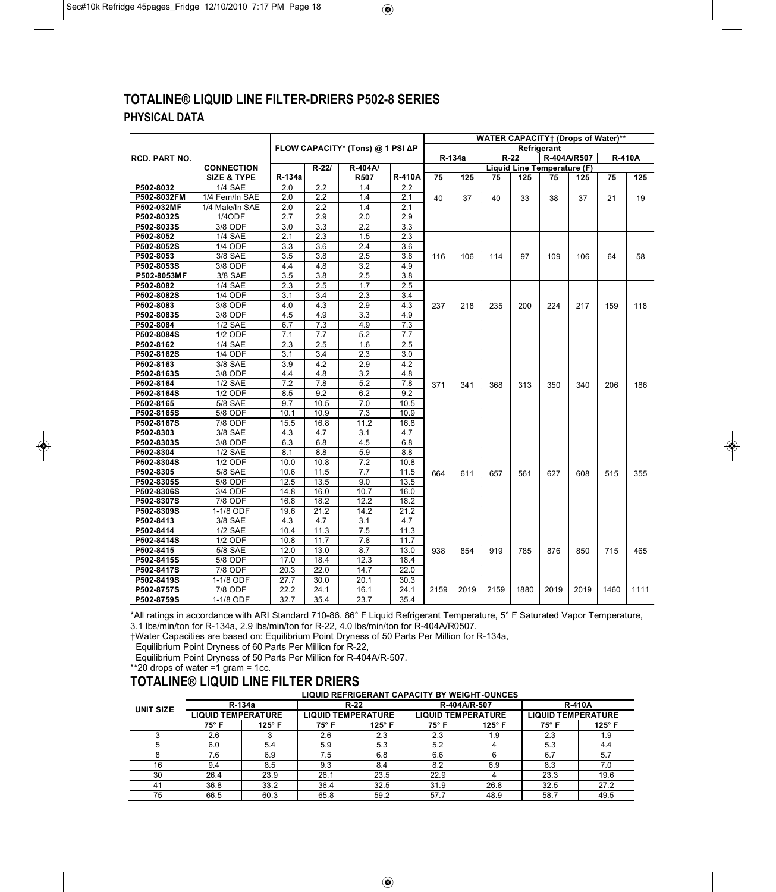# **TOTALINE® LIQUID LINE FILTER-DRIERS P502-8 SERIES PHYSICAL DATA**

|                         |                        |                  |                         |                                  |                         | <b>WATER CAPACITY</b> † (Drops of Water)** |        |                             |      |      |               |      |      |
|-------------------------|------------------------|------------------|-------------------------|----------------------------------|-------------------------|--------------------------------------------|--------|-----------------------------|------|------|---------------|------|------|
|                         |                        |                  |                         | FLOW CAPACITY* (Tons) @ 1 PSI ΔP |                         | <b>Refrigerant</b>                         |        |                             |      |      |               |      |      |
| <b>RCD. PART NO.</b>    |                        |                  |                         |                                  |                         |                                            | R-134a | R-404A/R507<br>$R-22$       |      |      | <b>R-410A</b> |      |      |
|                         | <b>CONNECTION</b>      |                  | $R - 22I$               | R-404A/                          |                         |                                            |        | Liquid Line Temperature (F) |      |      |               |      |      |
|                         | <b>SIZE &amp; TYPE</b> | R-134a           |                         | <b>R507</b>                      | <b>R-410A</b>           | 75                                         | 125    | 75                          | 125  | 75   | 125           | 75   | 125  |
| P502-8032               | <b>1/4 SAE</b>         | 2.0              | 2.2                     | 1.4                              | 2.2                     |                                            |        |                             |      |      |               |      |      |
| P502-8032FM             | 1/4 Fem/In SAE         | 2.0              | $\overline{2.2}$        | 1.4                              | 2.1                     | 40                                         | 37     | 40                          | 33   | 38   | 37            | 21   | 19   |
| P502-032MF              | 1/4 Male/In SAE        | $\overline{2.0}$ | 2.2                     | 1.4                              | 2.1                     |                                            |        |                             |      |      |               |      |      |
| P502-8032S              | 1/4ODF                 | 2.7              | $\overline{2.9}$        | $\overline{2.0}$                 | $\overline{2.9}$        |                                            |        |                             |      |      |               |      |      |
| P502-8033S              | 3/8 ODF                | 3.0              | 3.3                     | 2.2                              | $\overline{3.3}$        |                                            |        |                             |      |      |               |      |      |
| P502-8052               | $1/4$ SAE              | 2.1              | 2.3                     | 1.5                              | 2.3                     |                                            |        |                             |      |      |               |      |      |
| P502-8052S              | <b>1/4 ODF</b>         | 3.3              | 3.6                     | $\overline{2.4}$                 | 3.6                     |                                            |        |                             |      |      |               |      |      |
| P502-8053               | 3/8 SAE                | 3.5              | 3.8                     | 2.5                              | 3.8                     | 116                                        | 106    | 114                         | 97   | 109  | 106           | 64   | 58   |
| P502-8053S              | 3/8 ODF                | 4.4              | 4.8                     | 3.2                              | 4.9                     |                                            |        |                             |      |      |               |      |      |
| P502-8053MF             | 3/8 SAE                | 3.5              | $\overline{3.8}$        | 2.5                              | $\overline{3.8}$        |                                            |        |                             |      |      |               |      |      |
| P502-8082               | <b>1/4 SAE</b>         | 2.3              | 2.5                     | 1.7                              | 2.5                     |                                            |        |                             |      |      | 217           |      | 118  |
| P502-8082S              | $1/4$ ODF              | 3.1              | 3.4                     | 2.3                              | 3.4                     |                                            |        | 235                         | 200  | 224  |               | 159  |      |
| P502-8083               | 3/8 ODF                | 4.0              | 4.3                     | 2.9                              | 4.3                     | 237                                        | 218    |                             |      |      |               |      |      |
| P502-8083S              | 3/8 ODF                | 4.5              | 4.9                     | 3.3                              | 4.9                     |                                            |        |                             |      |      |               |      |      |
| P502-8084               | <b>1/2 SAE</b>         | 6.7              | 7.3                     | 4.9                              | 7.3                     |                                            |        |                             |      |      |               |      |      |
| P502-8084S              | 1/2 ODF<br>$1/4$ SAE   | 7.1              | 7.7<br>$\overline{2.5}$ | 5.2<br>1.6                       | 7.7<br>$\overline{2.5}$ |                                            |        |                             |      |      |               |      |      |
| P502-8162               | <b>1/4 ODF</b>         | 2.3              |                         |                                  |                         |                                            |        |                             |      |      |               |      |      |
| P502-8162S              | 3/8 SAE                | 3.1              | 3.4<br>4.2              | 2.3<br>2.9                       | 3.0<br>4.2              |                                            |        |                             |      | 350  | 340           |      | 186  |
| P502-8163<br>P502-8163S | 3/8 ODF                | 3.9<br>4.4       | 4.8                     | 3.2                              | 4.8                     |                                            |        | 368                         | 313  |      |               |      |      |
| P502-8164               | $1/2$ SAE              | 7.2              | 7.8                     | 5.2                              | $\overline{7.8}$        |                                            |        |                             |      |      |               | 206  |      |
| P502-8164S              | 1/2 ODF                | 8.5              | 9.2                     | 6.2                              | 9.2                     | 371                                        | 341    |                             |      |      |               |      |      |
| P502-8165               | <b>5/8 SAE</b>         | 9.7              | 10.5                    | 7.0                              | 10.5                    |                                            |        |                             |      |      |               |      |      |
| P502-8165S              | 5/8 ODF                | 10.1             | 10.9                    | $\overline{7.3}$                 | 10.9                    |                                            |        |                             |      |      |               |      |      |
| P502-8167S              | 7/8 ODF                | 15.5             | 16.8                    | 11.2                             | 16.8                    |                                            |        |                             |      |      |               |      |      |
| P502-8303               | 3/8 SAE                | 4.3              | 4.7                     | 3.1                              | 4.7                     |                                            |        |                             |      |      |               |      |      |
| P502-8303S              | 3/8 ODF                | 6.3              | 6.8                     | 4.5                              | 6.8                     |                                            |        |                             |      |      |               |      |      |
| P502-8304               | $1/2$ SAE              | 8.1              | 8.8                     | 5.9                              | 8.8                     |                                            |        |                             |      |      |               |      |      |
| P502-8304S              | <b>1/2 ODF</b>         | 10.0             | 10.8                    | 7.2                              | 10.8                    |                                            |        |                             |      |      |               |      |      |
| P502-8305               | <b>5/8 SAE</b>         | 10.6             | 11.5                    | 7.7                              | 11.5                    | 664                                        | 611    | 657                         | 561  | 627  | 608           | 515  | 355  |
| P502-8305S              | 5/8 ODF                | 12.5             | 13.5                    | 9.0                              | 13.5                    |                                            |        |                             |      |      |               |      |      |
| P502-8306S              | 3/4 ODF                | 14.8             | 16.0                    | 10.7                             | 16.0                    |                                            |        |                             |      |      |               |      |      |
| P502-8307S              | 7/8 ODF                | 16.8             | 18.2                    | 12.2                             | 18.2                    |                                            |        |                             |      |      |               |      |      |
| P502-8309S              | 1-1/8 ODF              | 19.6             | 21.2                    | 14.2                             | 21.2                    |                                            |        |                             |      |      |               |      |      |
| P502-8413               | 3/8 SAE                | 4.3              | 4.7                     | 3.1                              | 4.7                     |                                            |        |                             |      |      |               |      |      |
| P502-8414               | <b>1/2 SAE</b>         | 10.4             | 11.3                    | 7.5                              | 11.3                    |                                            |        |                             |      |      |               |      |      |
| P502-8414S              | <b>1/2 ODF</b>         | 10.8             | 11.7                    | 7.8                              | 11.7                    |                                            |        |                             |      |      |               |      |      |
| P502-8415               | 5/8 SAE                | 12.0             | 13.0                    | 8.7                              | 13.0                    | 938                                        | 854    | 919                         | 785  | 876  | 850           | 715  | 465  |
| P502-8415S              | 5/8 ODF                | 17.0             | 18.4                    | 12.3                             | 18.4                    |                                            |        |                             |      |      |               |      |      |
| P502-8417S              | 7/8 ODF                | 20.3             | 22.0                    | 14.7                             | 22.0                    |                                            |        |                             |      |      |               |      |      |
| P502-8419S              | 1-1/8 ODF              | 27.7             | 30.0                    | 20.1                             | 30.3                    |                                            |        |                             |      |      |               |      |      |
| P502-8757S              | 7/8 ODF                | 22.2             | 24.1                    | 16.1                             | 24.1                    | 2159                                       | 2019   | 2159                        | 1880 | 2019 | 2019          | 1460 | 1111 |
| P502-8759S              | 1-1/8 ODF              | 32.7             | 35.4                    | 23.7                             | 35.4                    |                                            |        |                             |      |      |               |      |      |

\*All ratings in accordance with ARI Standard 710-86. 86° F Liquid Refrigerant Temperature, 5° F Saturated Vapor Temperature, 3.1 lbs/min/ton for R-134a, 2.9 lbs/min/ton for R-22, 4.0 lbs/min/ton for R-404A/R0507.

†Water Capacities are based on: Equilibrium Point Dryness of 50 Parts Per Million for R-134a,

Equilibrium Point Dryness of 60 Parts Per Million for R-22,

Equilibrium Point Dryness of 50 Parts Per Million for R-404A/R-507.

\*\*20 drops of water  $=1$  gram = 1cc.

# **TOTALINE® LIQUID LINE FILTER DRIERS**

|           | <b>LIQUID REFRIGERANT CAPACITY BY WEIGHT-OUNCES</b> |        |                           |               |                           |               |                           |               |  |  |  |
|-----------|-----------------------------------------------------|--------|---------------------------|---------------|---------------------------|---------------|---------------------------|---------------|--|--|--|
| UNIT SIZE |                                                     | R-134a |                           | $R-22$        | R-404A/R-507              |               | <b>R-410A</b>             |               |  |  |  |
|           | <b>LIQUID TEMPERATURE</b>                           |        | <b>LIQUID TEMPERATURE</b> |               | <b>LIQUID TEMPERATURE</b> |               | <b>LIQUID TEMPERATURE</b> |               |  |  |  |
|           | $125^\circ$ F<br>75° F                              |        | 75° F                     | $125^\circ$ F | 75° F                     | $125^\circ$ F | 75° F                     | $125^\circ$ F |  |  |  |
|           | 2.6                                                 |        | 2.6                       | 2.3           | 2.3                       | 1.9           | 2.3                       | 1.9           |  |  |  |
|           | 6.0                                                 | 5.4    | 5.9                       | 5.3           | 5.2                       |               | 5.3                       | 4.4           |  |  |  |
|           | 7.6                                                 | 6.9    | 7.5                       | 6.8           | 6.6                       | 6             | 6.7                       | 5.7           |  |  |  |
| 16        | 9.4                                                 | 8.5    | 9.3                       | 8.4           | 8.2                       | 6.9           | 8.3                       | 7.0           |  |  |  |
| 30        | 26.4                                                | 23.9   | 26.1                      | 23.5          | 22.9                      |               | 23.3                      | 19.6          |  |  |  |
| 41        | 36.8                                                | 33.2   | 36.4                      | 32.5          | 31.9                      | 26.8          | 32.5                      | 27.2          |  |  |  |
| 75        | 66.5                                                | 60.3   | 65.8                      | 59.2          | 57.7                      | 48.9          | 58.7                      | 49.5          |  |  |  |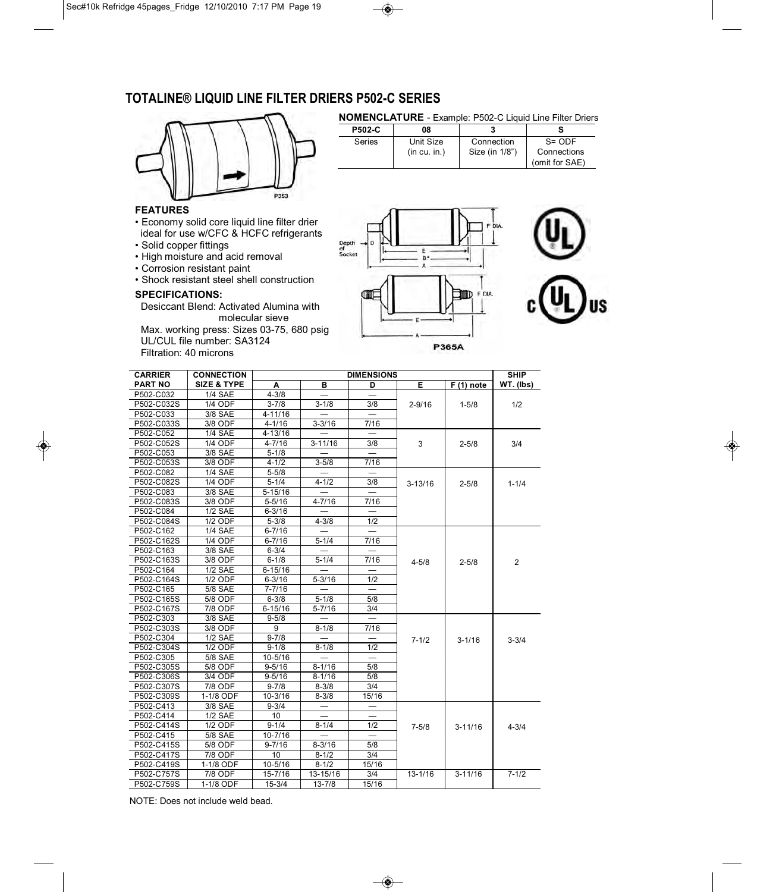# **TOTALINE® LIQUID LINE FILTER DRIERS P502-C SERIES**



#### **NOMENCLATURE** - Example: P502-C Liquid Line Filter Driers

| <b>P502-C</b> | 08          |                |                |
|---------------|-------------|----------------|----------------|
| Series        | Unit Size   | Connection     | $S = ODF$      |
|               | (in cu.in.) | Size (in 1/8") | Connections    |
|               |             |                | (omit for SAE) |
|               |             |                |                |

#### **FEATURES**

- Economy solid core liquid line filter drier ideal for use w/CFC & HCFC refrigerants
- Solid copper fittings
- High moisture and acid removal
- Corrosion resistant paint
- Shock resistant steel shell construction

#### **SPECIFICATIONS:**

Desiccant Blend: Activated Alumina with molecular sieve

Max. working press: Sizes 03-75, 680 psig UL/CUL file number: SA3124 Filtration: 40 microns





**P365A** 

| <b>CARRIER</b> | <b>CONNECTION</b>      | <b>DIMENSIONS</b> |             |                          |             |             | <b>SHIP</b> |
|----------------|------------------------|-------------------|-------------|--------------------------|-------------|-------------|-------------|
| <b>PART NO</b> | <b>SIZE &amp; TYPE</b> | A                 | в           | D                        | Е           | $F(1)$ note | WT. (lbs)   |
| P502-C032      | <b>1/4 SAE</b>         | $4 - 3/8$         |             |                          |             |             |             |
| P502-C032S     | 1/4 ODF                | $3 - 7/8$         | $3 - 1/8$   | 3/8                      | $2 - 9/16$  | $1 - 5/8$   | 1/2         |
| P502-C033      | 3/8 SAE                | 4-11/16           |             |                          |             |             |             |
| P502-C033S     | 3/8 ODF                | $4 - 1/16$        | $3 - 3/16$  | 7/16                     |             |             |             |
| P502-C052      | <b>1/4 SAE</b>         | 4-13/16           |             |                          |             |             |             |
| P502-C052S     | <b>1/4 ODF</b>         | $4 - 7/16$        | $3 - 11/16$ | 3/8                      | 3           | $2 - 5/8$   | 3/4         |
| P502-C053      | 3/8 SAE                | $5 - 1/8$         |             |                          |             |             |             |
| P502-C053S     | 3/8 ODF                | $4 - 1/2$         | $3 - 5/8$   | 7/16                     |             |             |             |
| P502-C082      | <b>1/4 SAE</b>         | $5 - 5/8$         |             |                          |             |             |             |
| P502-C082S     | 1/4 ODF                | $5 - 1/4$         | $4 - 1/2$   | 3/8                      | $3 - 13/16$ | $2 - 5/8$   | $1 - 1/4$   |
| P502-C083      | 3/8 SAE                | $5 - 15/16$       |             |                          |             |             |             |
| P502-C083S     | 3/8 ODF                | $5 - 5/16$        | $4 - 7/16$  | 7/16                     |             |             |             |
| P502-C084      | <b>1/2 SAE</b>         | $6 - 3/16$        |             |                          |             |             |             |
| P502-C084S     | 1/2 ODF                | $5 - 3/8$         | $4 - 3/8$   | 1/2                      |             |             |             |
| P502-C162      | <b>1/4 SAE</b>         | $6 - 7/16$        |             |                          |             |             |             |
| P502-C162S     | <b>1/4 ODF</b>         | $6 - 7/16$        | $5 - 1/4$   | 7/16                     |             |             |             |
| P502-C163      | 3/8 SAE                | $6 - 3/4$         |             |                          |             |             |             |
| P502-C163S     | 3/8 ODF                | $6 - 1/8$         | $5 - 1/4$   | 7/16                     | $4 - 5/8$   | $2 - 5/8$   | 2           |
| P502-C164      | <b>1/2 SAE</b>         | $6 - 15/16$       |             |                          |             |             |             |
| P502-C164S     | 1/2 ODF                | $6 - 3/16$        | $5 - 3/16$  | 1/2                      |             |             |             |
| P502-C165      | 5/8 SAE                | $7 - 7/16$        |             |                          |             |             |             |
| P502-C165S     | 5/8 ODF                | $6 - 3/8$         | $5 - 1/8$   | 5/8                      |             |             |             |
| P502-C167S     | 7/8 ODF                | $6 - 15/16$       | $5 - 7/16$  | 3/4                      |             |             |             |
| P502-C303      | 3/8 SAE                | $9 - 5/8$         |             |                          |             |             |             |
| P502-C303S     | 3/8 ODF                | 9                 | $8 - 1/8$   | 7/16                     |             |             |             |
| P502-C304      | <b>1/2 SAE</b>         | $9 - 7/8$         |             | $\overline{\phantom{0}}$ | $7 - 1/2$   | $3 - 1/16$  | $3 - 3/4$   |
| P502-C304S     | 1/2 ODF                | $9 - 1/8$         | $8 - 1/8$   | 1/2                      |             |             |             |
| P502-C305      | 5/8 SAE                | 10-5/16           |             |                          |             |             |             |
| P502-C305S     | 5/8 ODF                | $9 - 5/16$        | $8 - 1/16$  | 5/8                      |             |             |             |
| P502-C306S     | 3/4 ODF                | $9 - 5/16$        | $8 - 1/16$  | 5/8                      |             |             |             |
| P502-C307S     | 7/8 ODF                | $9 - 7/8$         | $8 - 3/8$   | 3/4                      |             |             |             |
| P502-C309S     | 1-1/8 ODF              | $10 - 3/16$       | $8 - 3/8$   | 15/16                    |             |             |             |
| P502-C413      | 3/8 SAE                | $9 - 3/4$         |             |                          |             |             |             |
| P502-C414      | <b>1/2 SAE</b>         | 10                |             |                          |             |             |             |
| P502-C414S     | 1/2 ODF                | $9 - 1/4$         | $8 - 1/4$   | 1/2                      | $7 - 5/8$   | $3 - 11/16$ | $4 - 3/4$   |
| P502-C415      | 5/8 SAE                | $10 - 7/16$       |             |                          |             |             |             |
| P502-C415S     | 5/8 ODF                | $9 - 7/16$        | $8 - 3/16$  | 5/8                      |             |             |             |
| P502-C417S     | 7/8 ODF                | 10                | $8 - 1/2$   | 3/4                      |             |             |             |
| P502-C419S     | 1-1/8 ODF              | 10-5/16           | $8 - 1/2$   | 15/16                    |             |             |             |
| P502-C757S     | 7/8 ODF                | 15-7/16           | 13-15/16    | 3/4                      | $13 - 1/16$ | $3 - 11/16$ | $7 - 1/2$   |
| P502-C759S     | 1-1/8 ODF              | $15 - 3/4$        | $13 - 7/8$  | 15/16                    |             |             |             |

NOTE: Does not include weld bead.